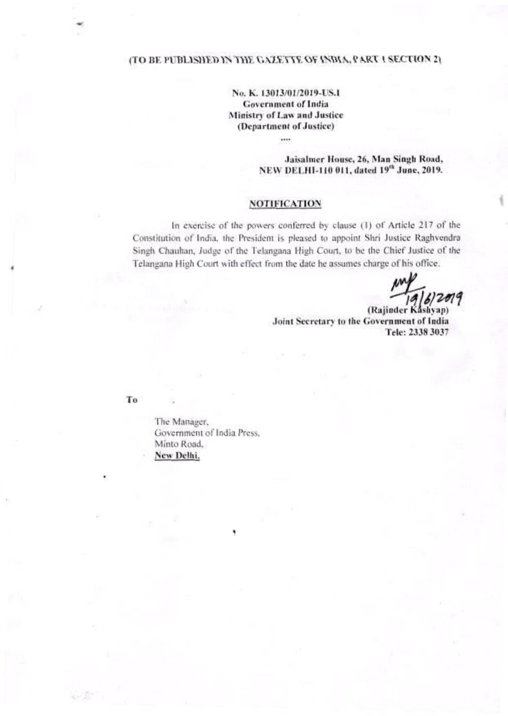# (TO BE PUBLISHED IN THE GAZETTE OF INDIA, PART I SECTION 2)

No. K. 13013/01/2019-US.I **Government of India** Ministry of Law and Justice (Department of Justice)

....

Jaisalmer House, 26, Man Singh Road, NEW DELHI-110 011, dated 19th June, 2019.

## **NOTIFICATION**

In exercise of the powers conferred by clause (1) of Article 217 of the Constitution of India, the President is pleased to appoint Shri Justice Raghvendra Singh Chauhan, Judge of the Telangana High Court, to be the Chief Justice of the Telangana High Court with effect from the date he assumes charge of his office.

(Rajinder Kashyap) Joint Secretary to the Government of India Tele: 2338 3037

To

a br

The Manager, Government of India Press. Minto Road, New Delhi.